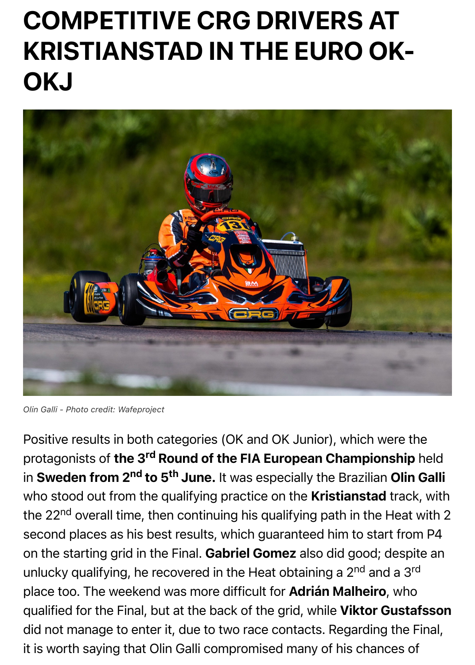

*Olin Galli - Photo credit: Wafeproject*

[Positive results in both categories \(OK and OK Junior\), which were the](https://kartcrg.com/wp-content/uploads/2022/06/Olin_Galli_EURO_OK_OKJ_Kristianstad.jpg) protagonists of the 3<sup>rd</sup> Round of the FIA European Championship in Sweden from 2<sup>nd</sup> to 5<sup>th</sup> June. It was especially the Brazilian Olin who stood out from the qualifying practice on the Kristianstad track the 22<sup>nd</sup> overall time, then continuing his qualifying path in the Heat second places as his best results, which guaranteed him to start fror on the starting grid in the Final. Gabriel Gomez also did good; despi unlucky qualifying, he recovered in the Heat obtaining a 2<sup>nd</sup> and a 3<sup>rd</sup> place too. The weekend was more difficult for Adrián Malheiro, who qualified for the Final, but at the back of the grid, while Viktor Gusta did not manage to enter it, due to two race contacts. Regarding the F it is worth saying that Olin Galli compromised many of his chances of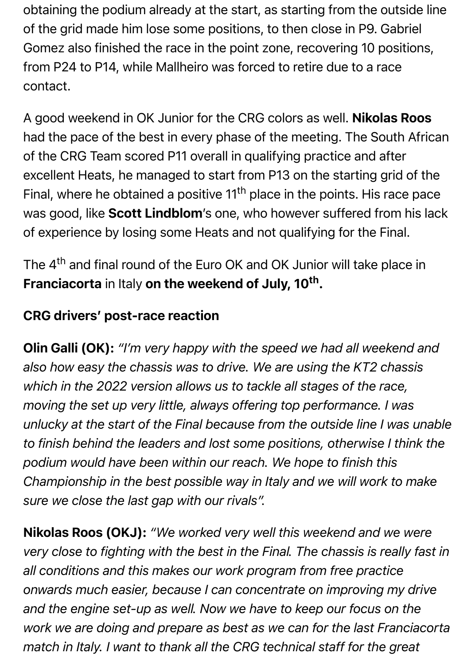obtaining the podium already at the start, as starting from the outside line of the grid made him lose some positions, to then close in P9. Gabriel Gomez also finished the race in the point zone, recovering 10 positions, from P24 to P14, while Mallheiro was forced to retire due to a race contact.

A good weekend in OK Junior for the CRG colors as well. Nikolas Roos had the pace of the best in every phase of the meeting. The South African of the CRG Team scored P11 overall in qualifying practice and after excellent Heats, he managed to start from P13 on the starting grid of the Final, where he obtained a positive 11<sup>th</sup> place in the points. His race pace was good, like Scott Lindblom's one, who however suffered from his lack of experience by losing some Heats and not qualifying for the Final.

The 4<sup>th</sup> and final round of the Euro OK and OK Junior will take place in Franciacorta in Italy on the weekend of July, 10<sup>th</sup>.

## CRG drivers' post-race reaction

Olin Galli (OK): *"I'm very happy with the speed we had all weekend and also how easy the chassis was to drive. We are using the KT2 chassis which in the 2022 version allows us to tackle all stages of the race, moving the set up very little, always offering top performance. I was unlucky at the start of the Final because from the outside line I was unable to finish behind the leaders and lost some positions, otherwise I think the podium would have been within our reach. We hope to finish this Championship in the best possible way in Italy and we will work to make sure we close the last gap with our rivals".*

Nikolas Roos (OKJ): *"We worked very well this weekend and we were very close to fighting with the best in the Final. The chassis is really fast in all conditions and this makes our work program from free practice onwards much easier, because I can concentrate on improving my drive and the engine set-up as well. Now we have to keep our focus on the work we are doing and prepare as best as we can for the last Franciacorta match in Italy. I want to thank all the CRG technical staff for the great*